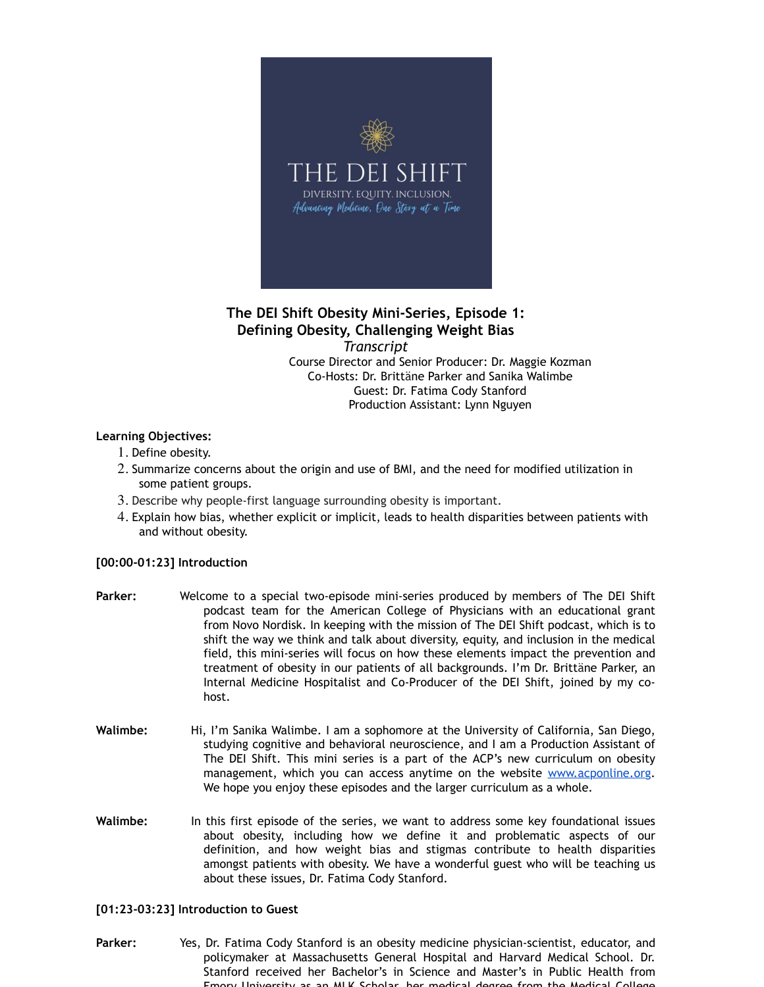

# **The DEI Shift Obesity Mini-Series, Episode 1: Defining Obesity, Challenging Weight Bias**

*Transcript*

Course Director and Senior Producer: Dr. Maggie Kozman Co-Hosts: Dr. Brittäne Parker and Sanika Walimbe Guest: Dr. Fatima Cody Stanford Production Assistant: Lynn Nguyen

## **Learning Objectives:**

- 1. Define obesity.
- 2. Summarize concerns about the origin and use of BMI, and the need for modified utilization in some patient groups.
- 3. Describe why people-first language surrounding obesity is important.
- 4. Explain how bias, whether explicit or implicit, leads to health disparities between patients with and without obesity.

## **[00:00-01:23] Introduction**

- **Parker:** Welcome to a special two-episode mini-series produced by members of The DEI Shift podcast team for the American College of Physicians with an educational grant from Novo Nordisk. In keeping with the mission of The DEI Shift podcast, which is to shift the way we think and talk about diversity, equity, and inclusion in the medical field, this mini-series will focus on how these elements impact the prevention and treatment of obesity in our patients of all backgrounds. I'm Dr. Brittäne Parker, an Internal Medicine Hospitalist and Co-Producer of the DEI Shift, joined by my cohost.
- **Walimbe:** Hi, I'm Sanika Walimbe. I am a sophomore at the University of California, San Diego, studying cognitive and behavioral neuroscience, and I am a Production Assistant of The DEI Shift. This mini series is a part of the ACP's new curriculum on obesity management, which you can access anytime on the website www.acponline.org. We hope you enjoy these episodes and the larger curriculum as a whole.
- **Walimbe:** In this first episode of the series, we want to address some key foundational issues about obesity, including how we define it and problematic aspects of our definition, and how weight bias and stigmas contribute to health disparities amongst patients with obesity. We have a wonderful guest who will be teaching us about these issues, Dr. Fatima Cody Stanford.

## **[01:23-03:23] Introduction to Guest**

**Parker:** Yes, Dr. Fatima Cody Stanford is an obesity medicine physician-scientist, educator, and policymaker at Massachusetts General Hospital and Harvard Medical School. Dr. Stanford received her Bachelor's in Science and Master's in Public Health from Emory University as an MLK Scholar, her medical degree from the Medical College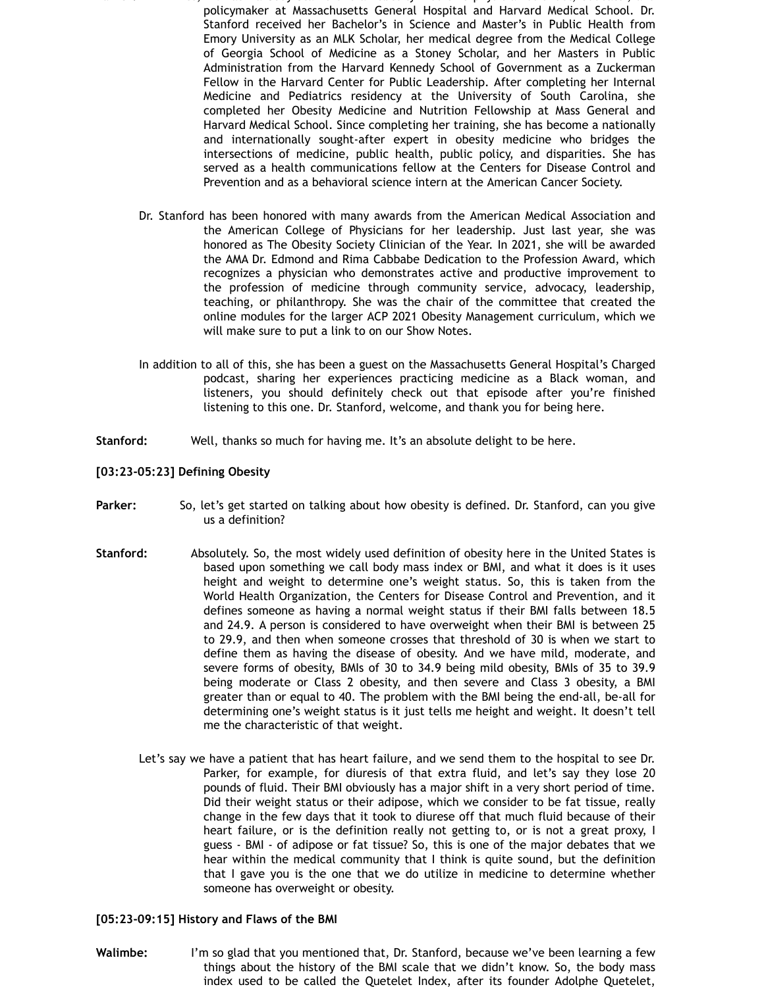- **Parker:** Yes, Dr. Fatima Cody Stanford is an obesity medicine physician-scientist, educator, and policymaker at Massachusetts General Hospital and Harvard Medical School. Dr. Stanford received her Bachelor's in Science and Master's in Public Health from Emory University as an MLK Scholar, her medical degree from the Medical College of Georgia School of Medicine as a Stoney Scholar, and her Masters in Public Administration from the Harvard Kennedy School of Government as a Zuckerman Fellow in the Harvard Center for Public Leadership. After completing her Internal Medicine and Pediatrics residency at the University of South Carolina, she completed her Obesity Medicine and Nutrition Fellowship at Mass General and Harvard Medical School. Since completing her training, she has become a nationally and internationally sought-after expert in obesity medicine who bridges the intersections of medicine, public health, public policy, and disparities. She has served as a health communications fellow at the Centers for Disease Control and Prevention and as a behavioral science intern at the American Cancer Society.
	- Dr. Stanford has been honored with many awards from the American Medical Association and the American College of Physicians for her leadership. Just last year, she was honored as The Obesity Society Clinician of the Year. In 2021, she will be awarded the AMA Dr. Edmond and Rima Cabbabe Dedication to the Profession Award, which recognizes a physician who demonstrates active and productive improvement to the profession of medicine through community service, advocacy, leadership, teaching, or philanthropy. She was the chair of the committee that created the online modules for the larger ACP 2021 Obesity Management curriculum, which we will make sure to put a link to on our Show Notes.
	- In addition to all of this, she has been a guest on the Massachusetts General Hospital's Charged podcast, sharing her experiences practicing medicine as a Black woman, and listeners, you should definitely check out that episode after you're finished listening to this one. Dr. Stanford, welcome, and thank you for being here.
- **Stanford:** Well, thanks so much for having me. It's an absolute delight to be here.

**[03:23-05:23] Defining Obesity**

- **Parker:** So, let's get started on talking about how obesity is defined. Dr. Stanford, can you give us a definition?
- **Stanford:** Absolutely. So, the most widely used definition of obesity here in the United States is based upon something we call body mass index or BMI, and what it does is it uses height and weight to determine one's weight status. So, this is taken from the World Health Organization, the Centers for Disease Control and Prevention, and it defines someone as having a normal weight status if their BMI falls between 18.5 and 24.9. A person is considered to have overweight when their BMI is between 25 to 29.9, and then when someone crosses that threshold of 30 is when we start to define them as having the disease of obesity. And we have mild, moderate, and severe forms of obesity, BMIs of 30 to 34.9 being mild obesity, BMIs of 35 to 39.9 being moderate or Class 2 obesity, and then severe and Class 3 obesity, a BMI greater than or equal to 40. The problem with the BMI being the end-all, be-all for determining one's weight status is it just tells me height and weight. It doesn't tell me the characteristic of that weight.
	- Let's say we have a patient that has heart failure, and we send them to the hospital to see Dr. Parker, for example, for diuresis of that extra fluid, and let's say they lose 20 pounds of fluid. Their BMI obviously has a major shift in a very short period of time. Did their weight status or their adipose, which we consider to be fat tissue, really change in the few days that it took to diurese off that much fluid because of their heart failure, or is the definition really not getting to, or is not a great proxy, I guess - BMI - of adipose or fat tissue? So, this is one of the major debates that we hear within the medical community that I think is quite sound, but the definition that I gave you is the one that we do utilize in medicine to determine whether someone has overweight or obesity.

### **[05:23-09:15] History and Flaws of the BMI**

**Walimbe:** I'm so glad that you mentioned that, Dr. Stanford, because we've been learning a few things about the history of the BMI scale that we didn't know. So, the body mass index used to be called the Quetelet Index, after its founder Adolphe Quetelet,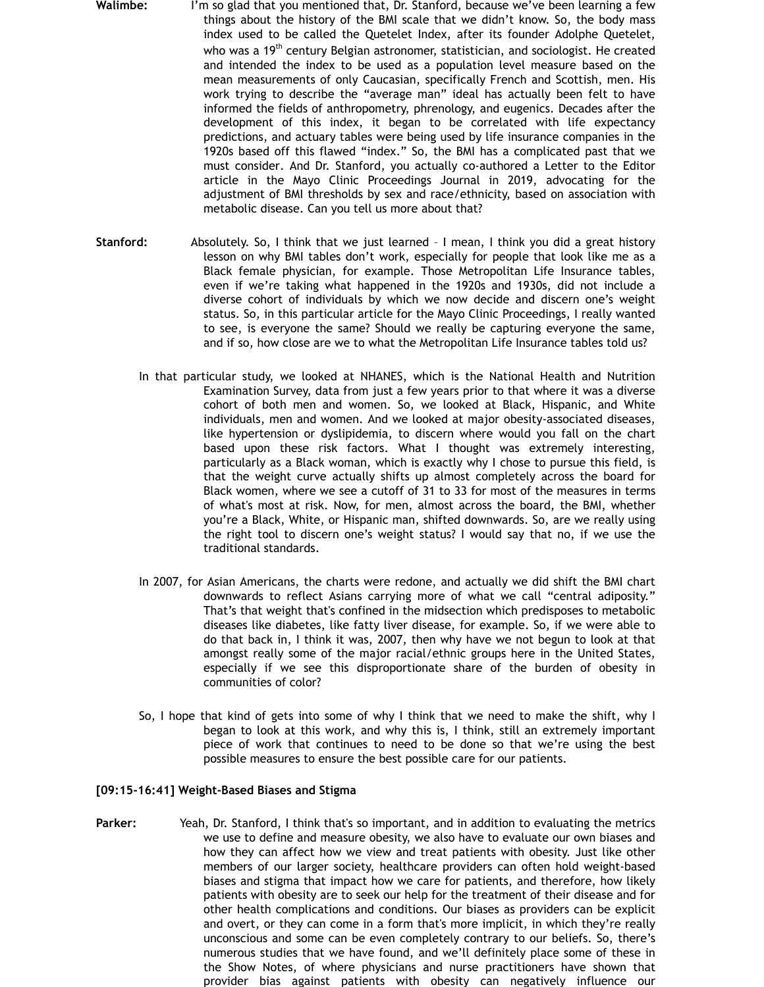- **Walimbe:** I'm so glad that you mentioned that, Dr. Stanford, because we've been learning a few things about the history of the BMI scale that we didn't know. So, the body mass index used to be called the Quetelet Index, after its founder Adolphe Quetelet, who was a  $19<sup>th</sup>$  century Belgian astronomer, statistician, and sociologist. He created and intended the index to be used as a population level measure based on the mean measurements of only Caucasian, specifically French and Scottish, men. His work trying to describe the "average man" ideal has actually been felt to have informed the fields of anthropometry, phrenology, and eugenics. Decades after the development of this index, it began to be correlated with life expectancy predictions, and actuary tables were being used by life insurance companies in the 1920s based off this flawed "index." So, the BMI has a complicated past that we must consider. And Dr. Stanford, you actually co-authored a Letter to the Editor article in the Mayo Clinic Proceedings Journal in 2019, advocating for the adjustment of BMI thresholds by sex and race/ethnicity, based on association with metabolic disease. Can you tell us more about that?
- **Stanford:** Absolutely. So, I think that we just learned I mean, I think you did a great history lesson on why BMI tables don't work, especially for people that look like me as a Black female physician, for example. Those Metropolitan Life Insurance tables, even if we're taking what happened in the 1920s and 1930s, did not include a diverse cohort of individuals by which we now decide and discern one's weight status. So, in this particular article for the Mayo Clinic Proceedings, I really wanted to see, is everyone the same? Should we really be capturing everyone the same, and if so, how close are we to what the Metropolitan Life Insurance tables told us?
	- In that particular study, we looked at NHANES, which is the National Health and Nutrition Examination Survey, data from just a few years prior to that where it was a diverse cohort of both men and women. So, we looked at Black, Hispanic, and White individuals, men and women. And we looked at major obesity-associated diseases, like hypertension or dyslipidemia, to discern where would you fall on the chart based upon these risk factors. What I thought was extremely interesting, particularly as a Black woman, which is exactly why I chose to pursue this field, is that the weight curve actually shifts up almost completely across the board for Black women, where we see a cutoff of 31 to 33 for most of the measures in terms of what's most at risk. Now, for men, almost across the board, the BMI, whether you're a Black, White, or Hispanic man, shifted downwards. So, are we really using the right tool to discern one's weight status? I would say that no, if we use the traditional standards.
	- In 2007, for Asian Americans, the charts were redone, and actually we did shift the BMI chart downwards to reflect Asians carrying more of what we call "central adiposity." That's that weight that's confined in the midsection which predisposes to metabolic diseases like diabetes, like fatty liver disease, for example. So, if we were able to do that back in, I think it was, 2007, then why have we not begun to look at that amongst really some of the major racial/ethnic groups here in the United States, especially if we see this disproportionate share of the burden of obesity in communities of color?
	- So, I hope that kind of gets into some of why I think that we need to make the shift, why I began to look at this work, and why this is, I think, still an extremely important piece of work that continues to need to be done so that we're using the best possible measures to ensure the best possible care for our patients.

#### **[09:15-16:41] Weight-Based Biases and Stigma**

**Parker:** Yeah, Dr. Stanford, I think that's so important, and in addition to evaluating the metrics we use to define and measure obesity, we also have to evaluate our own biases and how they can affect how we view and treat patients with obesity. Just like other members of our larger society, healthcare providers can often hold weight-based biases and stigma that impact how we care for patients, and therefore, how likely patients with obesity are to seek our help for the treatment of their disease and for other health complications and conditions. Our biases as providers can be explicit and overt, or they can come in a form that's more implicit, in which they're really unconscious and some can be even completely contrary to our beliefs. So, there's numerous studies that we have found, and we'll definitely place some of these in the Show Notes, of where physicians and nurse practitioners have shown that provider bias against patients with obesity can negatively influence our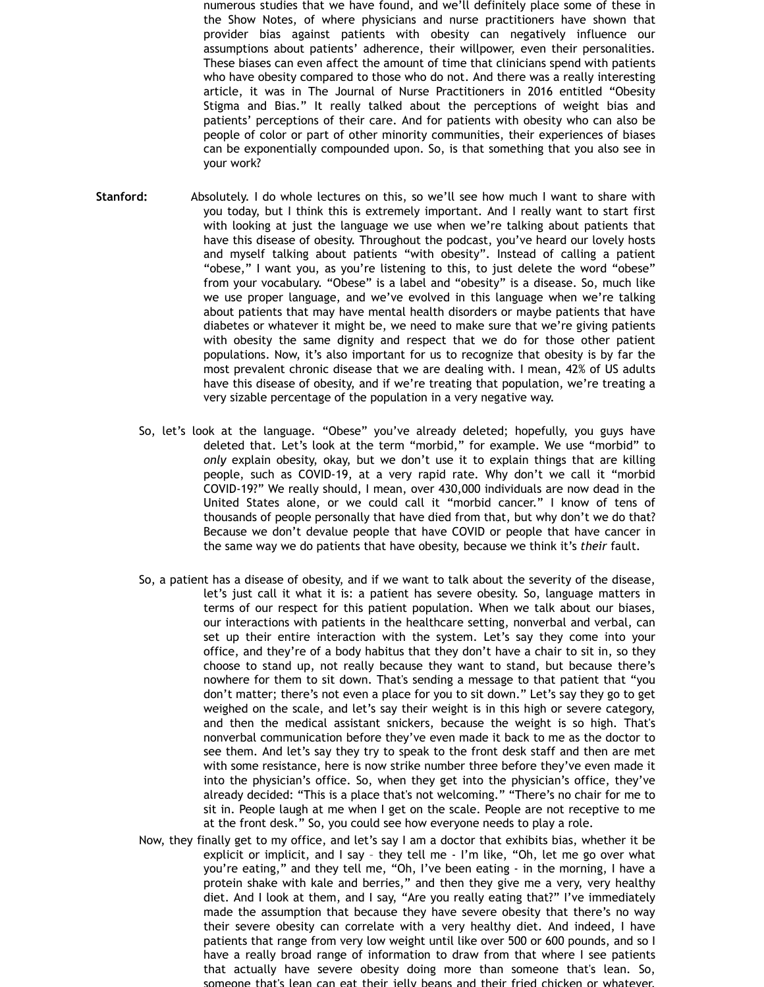numerous studies that we have found, and we'll definitely place some of these in the Show Notes, of where physicians and nurse practitioners have shown that provider bias against patients with obesity can negatively influence our assumptions about patients' adherence, their willpower, even their personalities. These biases can even affect the amount of time that clinicians spend with patients who have obesity compared to those who do not. And there was a really interesting article, it was in The Journal of Nurse Practitioners in 2016 entitled "Obesity Stigma and Bias." It really talked about the perceptions of weight bias and patients' perceptions of their care. And for patients with obesity who can also be people of color or part of other minority communities, their experiences of biases can be exponentially compounded upon. So, is that something that you also see in your work?

- **Stanford:** Absolutely. I do whole lectures on this, so we'll see how much I want to share with you today, but I think this is extremely important. And I really want to start first with looking at just the language we use when we're talking about patients that have this disease of obesity. Throughout the podcast, you've heard our lovely hosts and myself talking about patients "with obesity". Instead of calling a patient "obese," I want you, as you're listening to this, to just delete the word "obese" from your vocabulary. "Obese" is a label and "obesity" is a disease. So, much like we use proper language, and we've evolved in this language when we're talking about patients that may have mental health disorders or maybe patients that have diabetes or whatever it might be, we need to make sure that we're giving patients with obesity the same dignity and respect that we do for those other patient populations. Now, it's also important for us to recognize that obesity is by far the most prevalent chronic disease that we are dealing with. I mean, 42% of US adults have this disease of obesity, and if we're treating that population, we're treating a very sizable percentage of the population in a very negative way.
	- So, let's look at the language. "Obese" you've already deleted; hopefully, you guys have deleted that. Let's look at the term "morbid," for example. We use "morbid" to *only* explain obesity, okay, but we don't use it to explain things that are killing people, such as COVID-19, at a very rapid rate. Why don't we call it "morbid COVID-19?" We really should, I mean, over 430,000 individuals are now dead in the United States alone, or we could call it "morbid cancer." I know of tens of thousands of people personally that have died from that, but why don't we do that? Because we don't devalue people that have COVID or people that have cancer in the same way we do patients that have obesity, because we think it's *their* fault.
	- So, a patient has a disease of obesity, and if we want to talk about the severity of the disease, let's just call it what it is: a patient has severe obesity. So, language matters in terms of our respect for this patient population. When we talk about our biases, our interactions with patients in the healthcare setting, nonverbal and verbal, can set up their entire interaction with the system. Let's say they come into your office, and they're of a body habitus that they don't have a chair to sit in, so they choose to stand up, not really because they want to stand, but because there's nowhere for them to sit down. That's sending a message to that patient that "you don't matter; there's not even a place for you to sit down." Let's say they go to get weighed on the scale, and let's say their weight is in this high or severe category, and then the medical assistant snickers, because the weight is so high. That's nonverbal communication before they've even made it back to me as the doctor to see them. And let's say they try to speak to the front desk staff and then are met with some resistance, here is now strike number three before they've even made it into the physician's office. So, when they get into the physician's office, they've already decided: "This is a place that's not welcoming." "There's no chair for me to sit in. People laugh at me when I get on the scale. People are not receptive to me at the front desk." So, you could see how everyone needs to play a role.
	- Now, they finally get to my office, and let's say I am a doctor that exhibits bias, whether it be explicit or implicit, and I say – they tell me - I'm like, "Oh, let me go over what you're eating," and they tell me, "Oh, I've been eating - in the morning, I have a protein shake with kale and berries," and then they give me a very, very healthy diet. And I look at them, and I say, "Are you really eating that?" I've immediately made the assumption that because they have severe obesity that there's no way their severe obesity can correlate with a very healthy diet. And indeed, I have patients that range from very low weight until like over 500 or 600 pounds, and so I have a really broad range of information to draw from that where I see patients that actually have severe obesity doing more than someone that's lean. So, someone that's lean can eat their jelly beans and their fried chicken or whatever,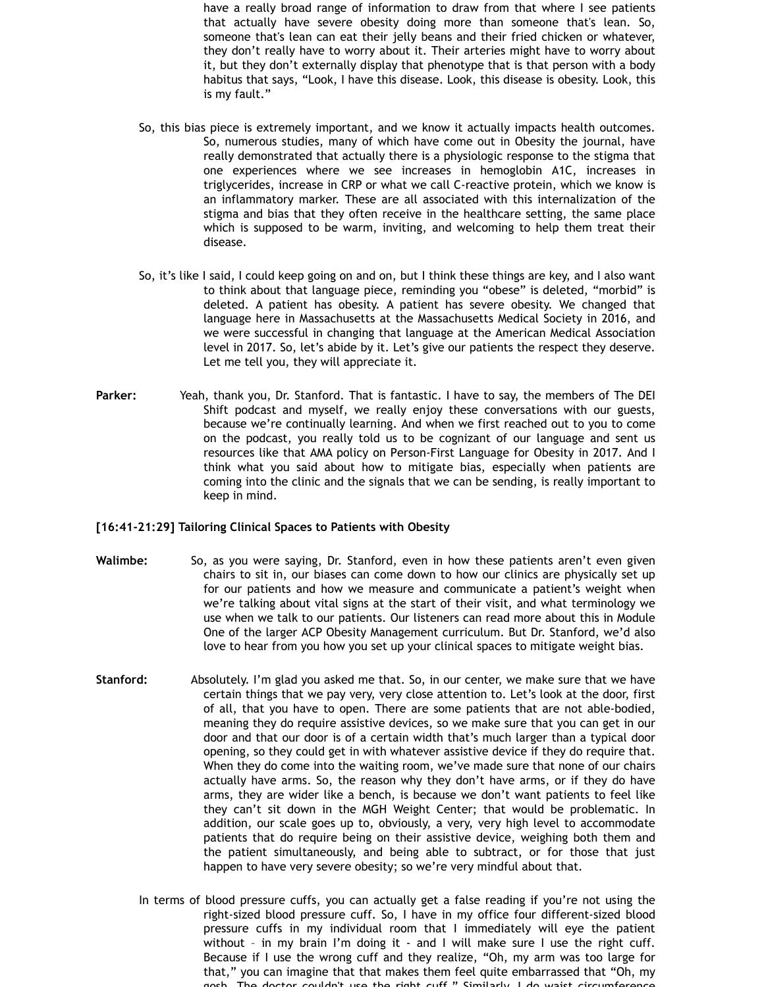have a really broad range of information to draw from that where I see patients that actually have severe obesity doing more than someone that's lean. So, someone that's lean can eat their jelly beans and their fried chicken or whatever, they don't really have to worry about it. Their arteries might have to worry about it, but they don't externally display that phenotype that is that person with a body habitus that says, "Look, I have this disease. Look, this disease is obesity. Look, this is my fault."

- So, this bias piece is extremely important, and we know it actually impacts health outcomes. So, numerous studies, many of which have come out in Obesity the journal, have really demonstrated that actually there is a physiologic response to the stigma that one experiences where we see increases in hemoglobin A1C, increases in triglycerides, increase in CRP or what we call C-reactive protein, which we know is an inflammatory marker. These are all associated with this internalization of the stigma and bias that they often receive in the healthcare setting, the same place which is supposed to be warm, inviting, and welcoming to help them treat their disease.
- So, it's like I said, I could keep going on and on, but I think these things are key, and I also want to think about that language piece, reminding you "obese" is deleted, "morbid" is deleted. A patient has obesity. A patient has severe obesity. We changed that language here in Massachusetts at the Massachusetts Medical Society in 2016, and we were successful in changing that language at the American Medical Association level in 2017. So, let's abide by it. Let's give our patients the respect they deserve. Let me tell you, they will appreciate it.
- **Parker:** Yeah, thank you, Dr. Stanford. That is fantastic. I have to say, the members of The DEI Shift podcast and myself, we really enjoy these conversations with our guests, because we're continually learning. And when we first reached out to you to come on the podcast, you really told us to be cognizant of our language and sent us resources like that AMA policy on Person-First Language for Obesity in 2017. And I think what you said about how to mitigate bias, especially when patients are coming into the clinic and the signals that we can be sending, is really important to keep in mind.

#### **[16:41-21:29] Tailoring Clinical Spaces to Patients with Obesity**

- **Walimbe:** So, as you were saying, Dr. Stanford, even in how these patients aren't even given chairs to sit in, our biases can come down to how our clinics are physically set up for our patients and how we measure and communicate a patient's weight when we're talking about vital signs at the start of their visit, and what terminology we use when we talk to our patients. Our listeners can read more about this in Module One of the larger ACP Obesity Management curriculum. But Dr. Stanford, we'd also love to hear from you how you set up your clinical spaces to mitigate weight bias.
- **Stanford:** Absolutely. I'm glad you asked me that. So, in our center, we make sure that we have certain things that we pay very, very close attention to. Let's look at the door, first of all, that you have to open. There are some patients that are not able-bodied, meaning they do require assistive devices, so we make sure that you can get in our door and that our door is of a certain width that's much larger than a typical door opening, so they could get in with whatever assistive device if they do require that. When they do come into the waiting room, we've made sure that none of our chairs actually have arms. So, the reason why they don't have arms, or if they do have arms, they are wider like a bench, is because we don't want patients to feel like they can't sit down in the MGH Weight Center; that would be problematic. In addition, our scale goes up to, obviously, a very, very high level to accommodate patients that do require being on their assistive device, weighing both them and the patient simultaneously, and being able to subtract, or for those that just happen to have very severe obesity; so we're very mindful about that.
	- In terms of blood pressure cuffs, you can actually get a false reading if you're not using the right-sized blood pressure cuff. So, I have in my office four different-sized blood pressure cuffs in my individual room that I immediately will eye the patient without – in my brain I'm doing it - and I will make sure I use the right cuff. Because if I use the wrong cuff and they realize, "Oh, my arm was too large for that," you can imagine that that makes them feel quite embarrassed that "Oh, my The doctor couldn't use the right cuff." Similarly, I do waist circum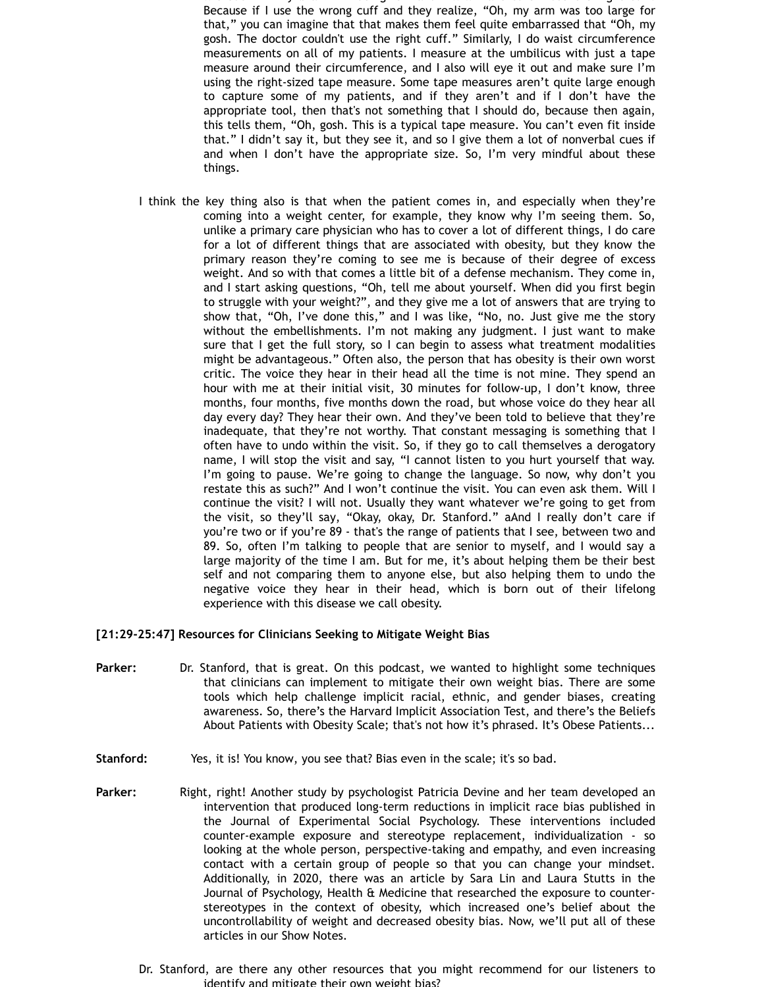with a single in my brain in my brain I will make sure I use the right cuff. Because if I use the wrong cuff and they realize, "Oh, my arm was too large for that," you can imagine that that makes them feel quite embarrassed that "Oh, my gosh. The doctor couldn't use the right cuff." Similarly, I do waist circumference measurements on all of my patients. I measure at the umbilicus with just a tape measure around their circumference, and I also will eye it out and make sure I'm using the right-sized tape measure. Some tape measures aren't quite large enough to capture some of my patients, and if they aren't and if I don't have the appropriate tool, then that's not something that I should do, because then again, this tells them, "Oh, gosh. This is a typical tape measure. You can't even fit inside that." I didn't say it, but they see it, and so I give them a lot of nonverbal cues if and when I don't have the appropriate size. So, I'm very mindful about these things.

I think the key thing also is that when the patient comes in, and especially when they're coming into a weight center, for example, they know why I'm seeing them. So, unlike a primary care physician who has to cover a lot of different things, I do care for a lot of different things that are associated with obesity, but they know the primary reason they're coming to see me is because of their degree of excess weight. And so with that comes a little bit of a defense mechanism. They come in, and I start asking questions, "Oh, tell me about yourself. When did you first begin to struggle with your weight?", and they give me a lot of answers that are trying to show that, "Oh, I've done this," and I was like, "No, no. Just give me the story without the embellishments. I'm not making any judgment. I just want to make sure that I get the full story, so I can begin to assess what treatment modalities might be advantageous." Often also, the person that has obesity is their own worst critic. The voice they hear in their head all the time is not mine. They spend an hour with me at their initial visit, 30 minutes for follow-up, I don't know, three months, four months, five months down the road, but whose voice do they hear all day every day? They hear their own. And they've been told to believe that they're inadequate, that they're not worthy. That constant messaging is something that I often have to undo within the visit. So, if they go to call themselves a derogatory name, I will stop the visit and say, "I cannot listen to you hurt yourself that way. I'm going to pause. We're going to change the language. So now, why don't you restate this as such?" And I won't continue the visit. You can even ask them. Will I continue the visit? I will not. Usually they want whatever we're going to get from the visit, so they'll say, "Okay, okay, Dr. Stanford." aAnd I really don't care if you're two or if you're 89 - that's the range of patients that I see, between two and 89. So, often I'm talking to people that are senior to myself, and I would say a large majority of the time I am. But for me, it's about helping them be their best self and not comparing them to anyone else, but also helping them to undo the negative voice they hear in their head, which is born out of their lifelong experience with this disease we call obesity.

## **[21:29-25:47] Resources for Clinicians Seeking to Mitigate Weight Bias**

- **Parker:** Dr. Stanford, that is great. On this podcast, we wanted to highlight some techniques that clinicians can implement to mitigate their own weight bias. There are some tools which help challenge implicit racial, ethnic, and gender biases, creating awareness. So, there's the Harvard Implicit Association Test, and there's the Beliefs About Patients with Obesity Scale; that's not how it's phrased. It's Obese Patients...
- **Stanford:** Yes, it is! You know, you see that? Bias even in the scale; it's so bad.
- **Parker:** Right, right! Another study by psychologist Patricia Devine and her team developed an intervention that produced long-term reductions in implicit race bias published in the Journal of Experimental Social Psychology. These interventions included counter-example exposure and stereotype replacement, individualization - so looking at the whole person, perspective-taking and empathy, and even increasing contact with a certain group of people so that you can change your mindset. Additionally, in 2020, there was an article by Sara Lin and Laura Stutts in the Journal of Psychology, Health & Medicine that researched the exposure to counterstereotypes in the context of obesity, which increased one's belief about the uncontrollability of weight and decreased obesity bias. Now, we'll put all of these articles in our Show Notes.
	- Dr. Stanford, are there any other resources that you might recommend for our listeners to identify and mitigate their own weight bias?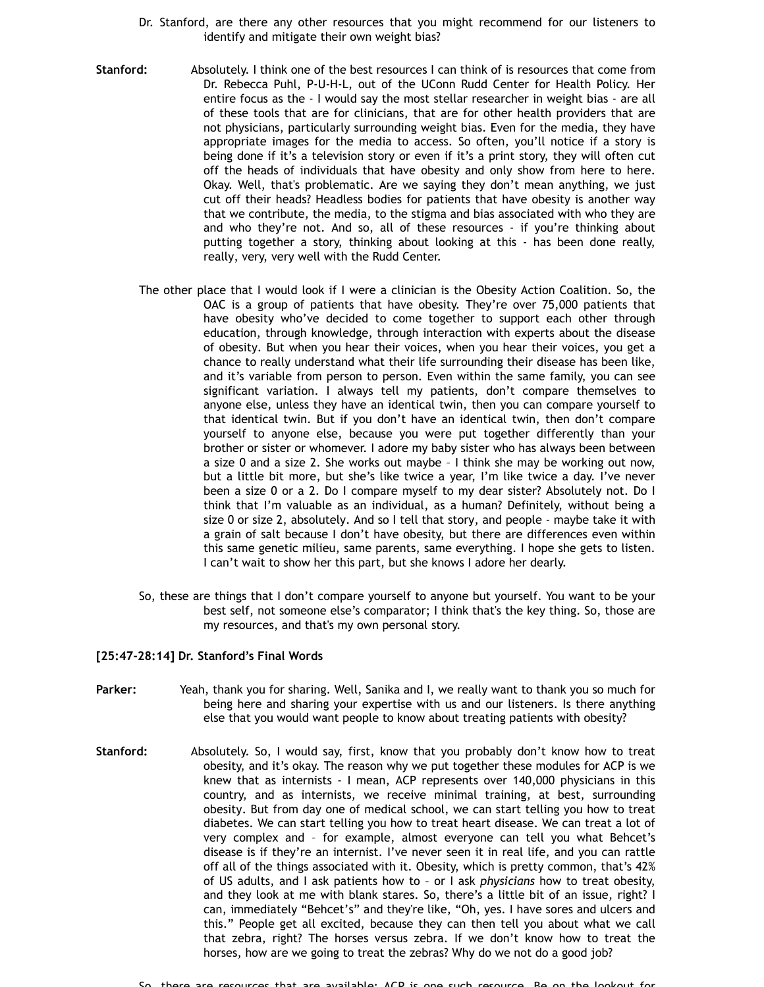- Dr. Stanford, are there any other resources that you might recommend for our listeners to identify and mitigate their own weight bias?
- **Stanford:** Absolutely. I think one of the best resources I can think of is resources that come from Dr. Rebecca Puhl, P-U-H-L, out of the UConn Rudd Center for Health Policy. Her entire focus as the - I would say the most stellar researcher in weight bias - are all of these tools that are for clinicians, that are for other health providers that are not physicians, particularly surrounding weight bias. Even for the media, they have appropriate images for the media to access. So often, you'll notice if a story is being done if it's a television story or even if it's a print story, they will often cut off the heads of individuals that have obesity and only show from here to here. Okay. Well, that's problematic. Are we saying they don't mean anything, we just cut off their heads? Headless bodies for patients that have obesity is another way that we contribute, the media, to the stigma and bias associated with who they are and who they're not. And so, all of these resources - if you're thinking about putting together a story, thinking about looking at this - has been done really, really, very, very well with the Rudd Center.
	- The other place that I would look if I were a clinician is the Obesity Action Coalition. So, the OAC is a group of patients that have obesity. They're over 75,000 patients that have obesity who've decided to come together to support each other through education, through knowledge, through interaction with experts about the disease of obesity. But when you hear their voices, when you hear their voices, you get a chance to really understand what their life surrounding their disease has been like, and it's variable from person to person. Even within the same family, you can see significant variation. I always tell my patients, don't compare themselves to anyone else, unless they have an identical twin, then you can compare yourself to that identical twin. But if you don't have an identical twin, then don't compare yourself to anyone else, because you were put together differently than your brother or sister or whomever. I adore my baby sister who has always been between a size 0 and a size 2. She works out maybe – I think she may be working out now, but a little bit more, but she's like twice a year, I'm like twice a day. I've never been a size 0 or a 2. Do I compare myself to my dear sister? Absolutely not. Do I think that I'm valuable as an individual, as a human? Definitely, without being a size 0 or size 2, absolutely. And so I tell that story, and people - maybe take it with a grain of salt because I don't have obesity, but there are differences even within this same genetic milieu, same parents, same everything. I hope she gets to listen. I can't wait to show her this part, but she knows I adore her dearly.
	- So, these are things that I don't compare yourself to anyone but yourself. You want to be your best self, not someone else's comparator; I think that's the key thing. So, those are my resources, and that's my own personal story.

#### **[25:47-28:14] Dr. Stanford's Final Words**

- **Parker:** Yeah, thank you for sharing. Well, Sanika and I, we really want to thank you so much for being here and sharing your expertise with us and our listeners. Is there anything else that you would want people to know about treating patients with obesity?
- **Stanford:** Absolutely. So, I would say, first, know that you probably don't know how to treat obesity, and it's okay. The reason why we put together these modules for ACP is we knew that as internists - I mean, ACP represents over 140,000 physicians in this country, and as internists, we receive minimal training, at best, surrounding obesity. But from day one of medical school, we can start telling you how to treat diabetes. We can start telling you how to treat heart disease. We can treat a lot of very complex and – for example, almost everyone can tell you what Behcet's disease is if they're an internist. I've never seen it in real life, and you can rattle off all of the things associated with it. Obesity, which is pretty common, that's 42% of US adults, and I ask patients how to – or I ask *physicians* how to treat obesity, and they look at me with blank stares. So, there's a little bit of an issue, right? I can, immediately "Behcet's" and they're like, "Oh, yes. I have sores and ulcers and this." People get all excited, because they can then tell you about what we call that zebra, right? The horses versus zebra. If we don't know how to treat the horses, how are we going to treat the zebras? Why do we not do a good job?